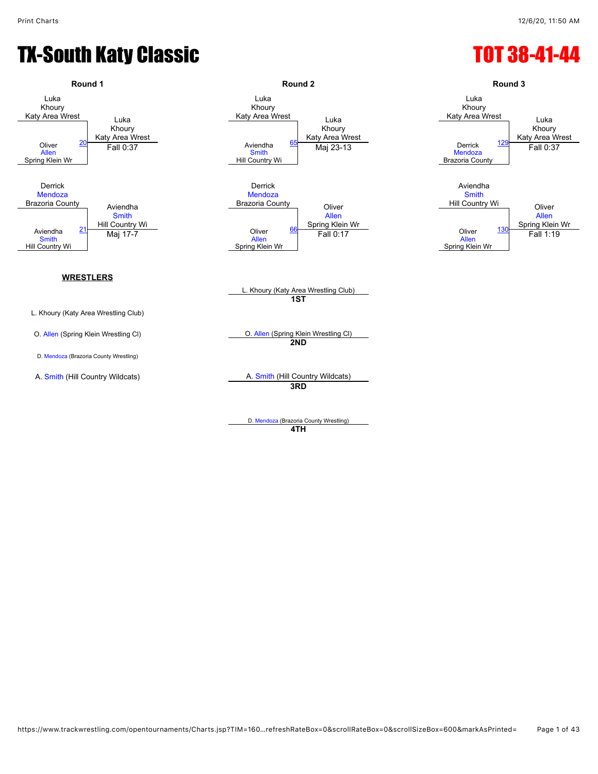

**4TH**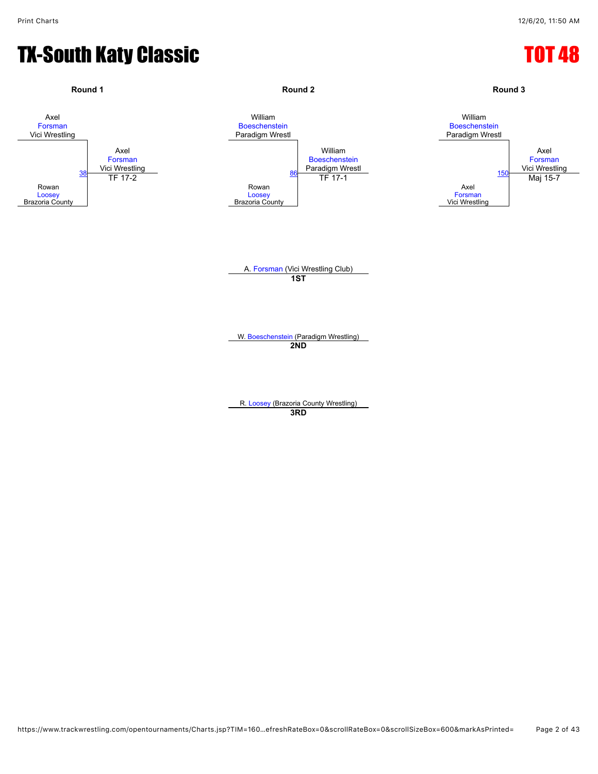#### TX-South Katy Classic No. 2008 2012 10:00:00 No. 2012 10:00:00 No. 2013

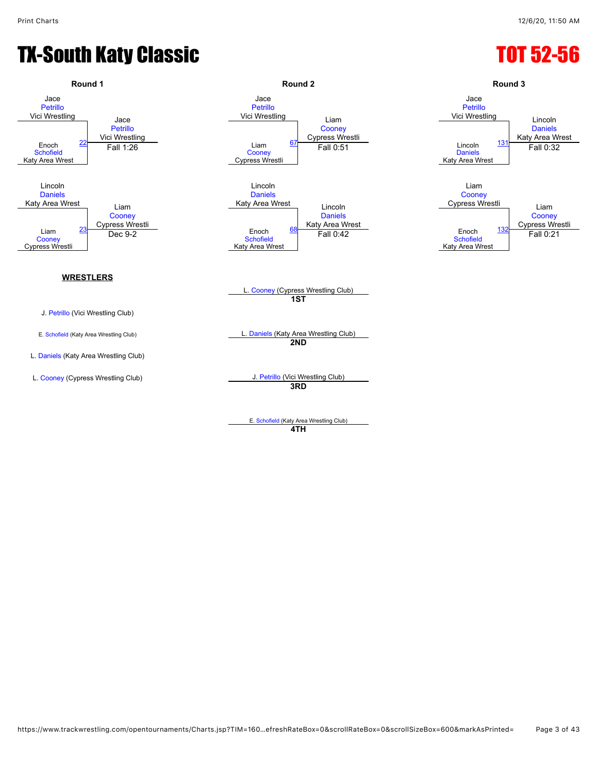#### TX-South Katy Classic No. 2015 100 2016



**4TH**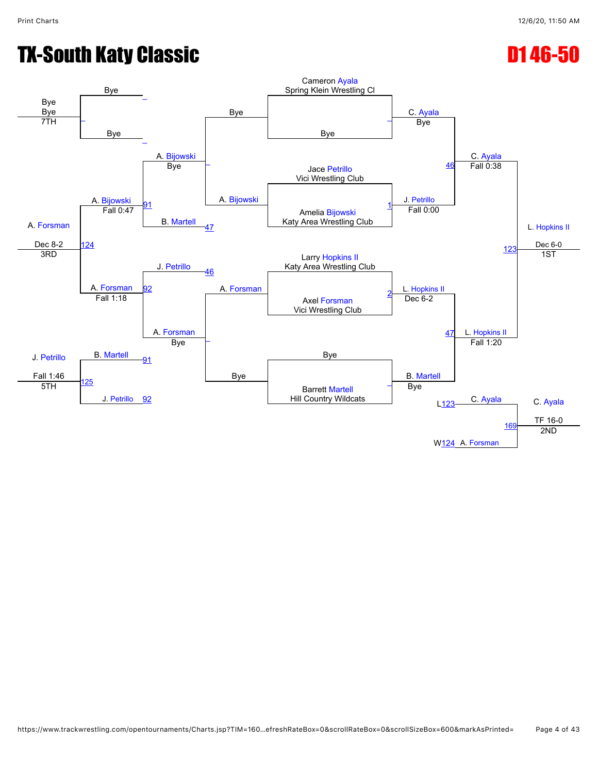# **TX-South Katy Classic Community Classic Community Community Community Community Community Community Community**

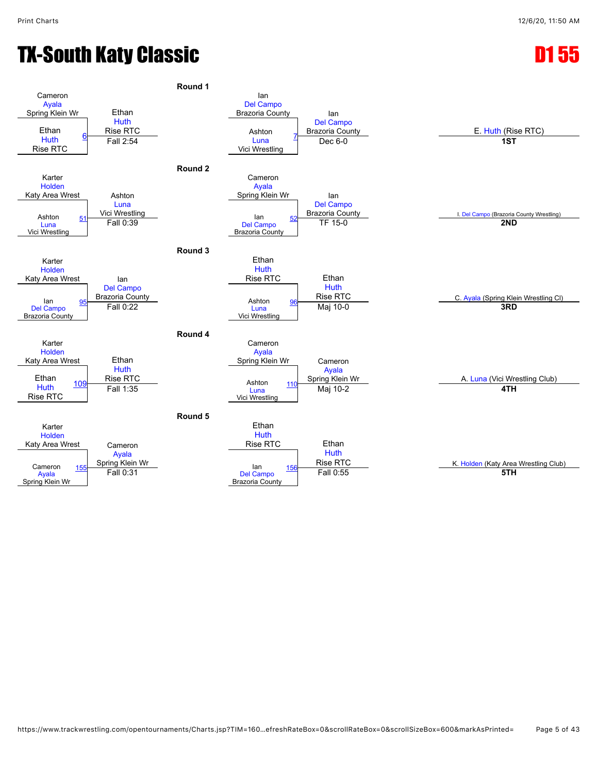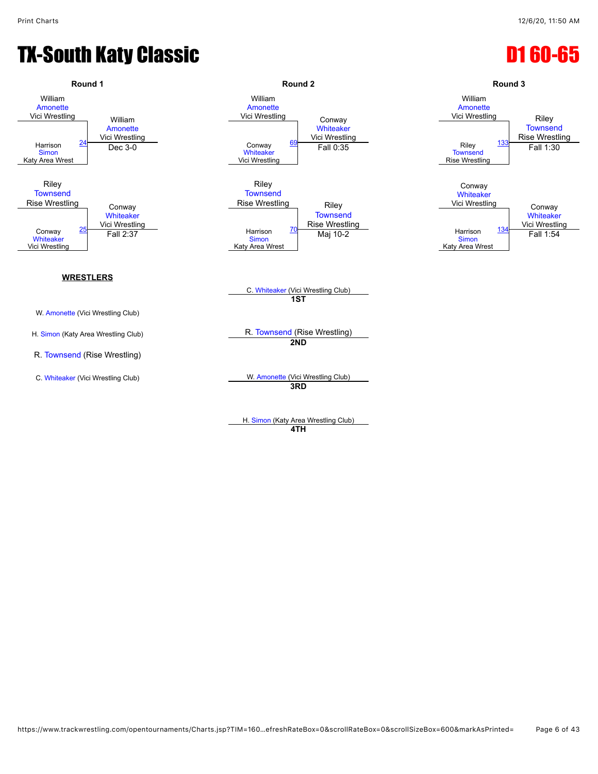



H. [Simon](javascript:viewProfile(66368135)) (Katy Area Wrestling Club) **4TH**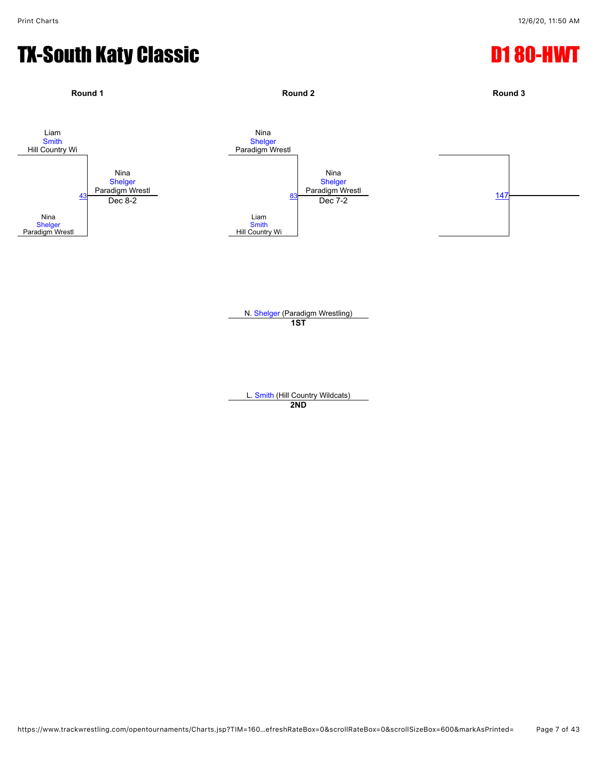## TX-South Katy Classic **D1 80-HWT**



**1ST**

L. [Smith](javascript:viewProfile(178758135)) (Hill Country Wildcats) **2ND**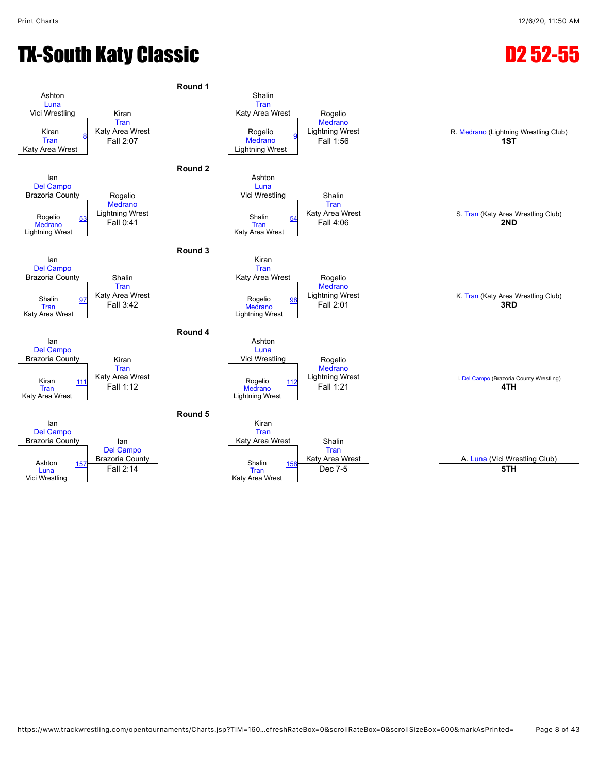## TX-South Katy Classic **D2 52-55**

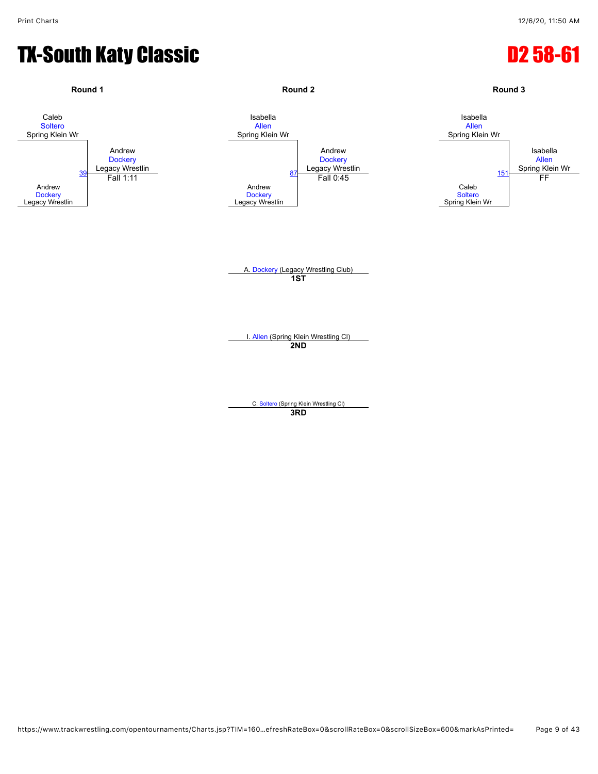#### TX-South Katy Classic **D2 58-61**

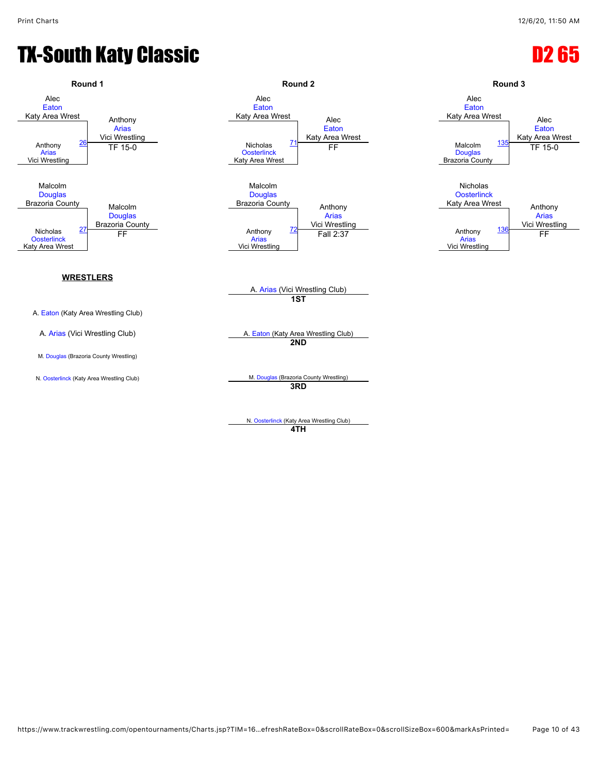

N. [Oosterlinck](javascript:viewProfile(46857132)) (Katy Area Wrestling Club) **4TH**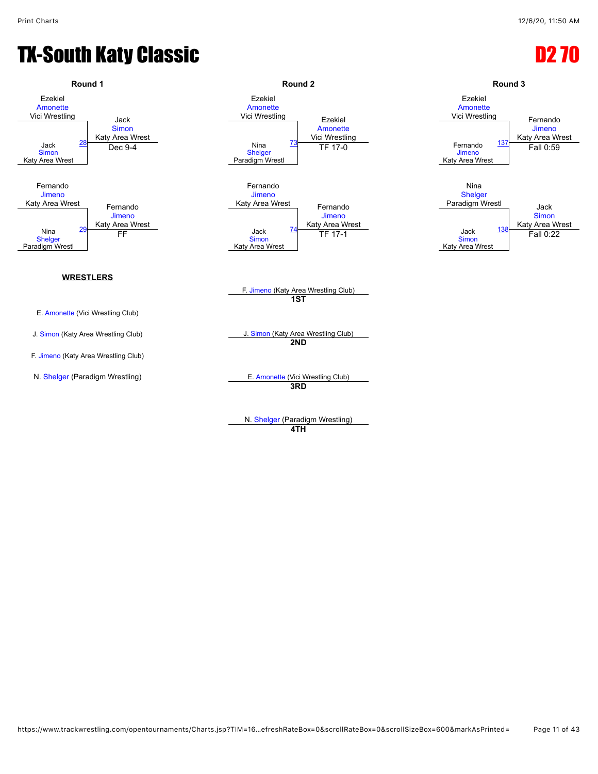

**4TH**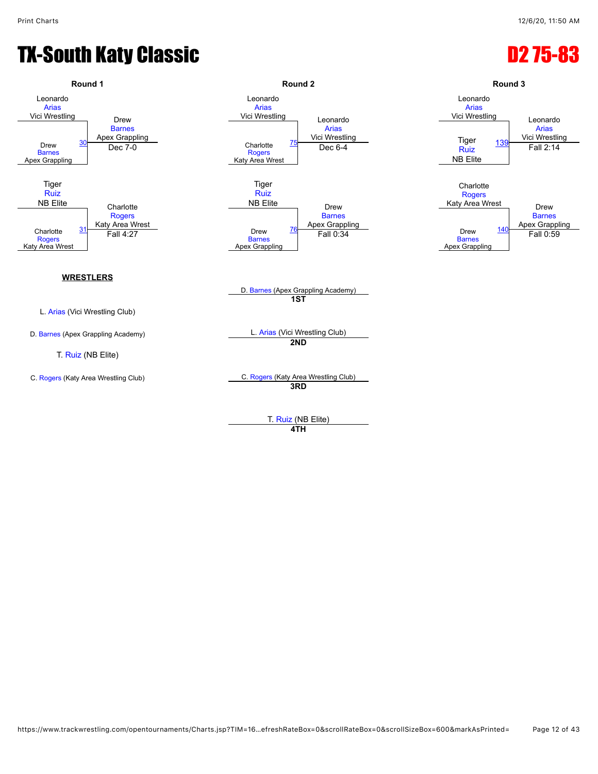



T. [Ruiz](javascript:viewProfile(1162645096)) (NB Elite) **4TH**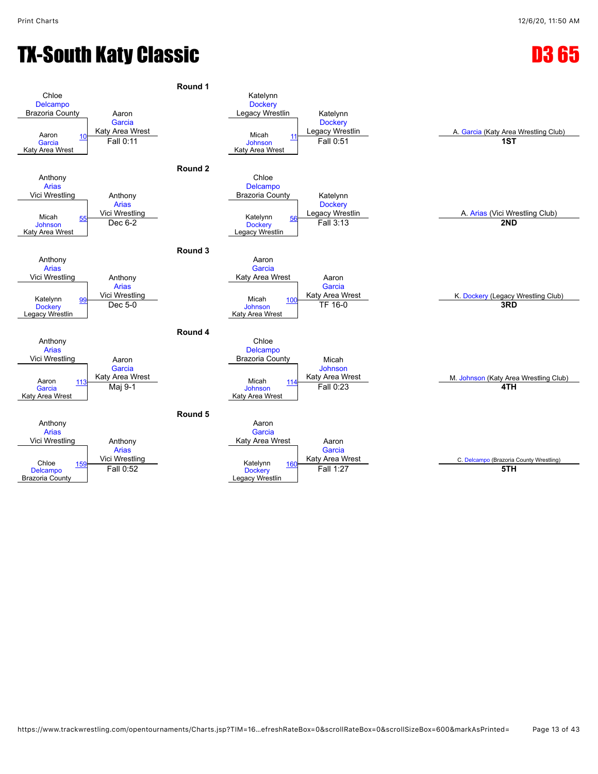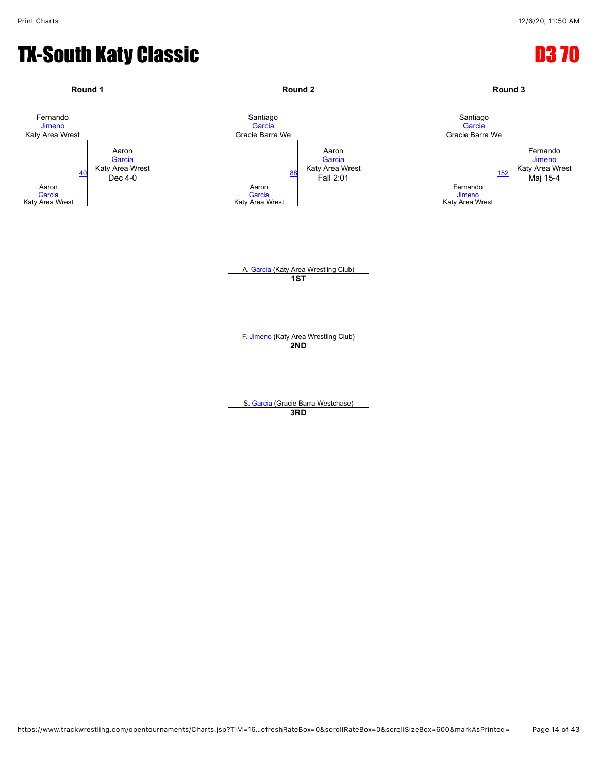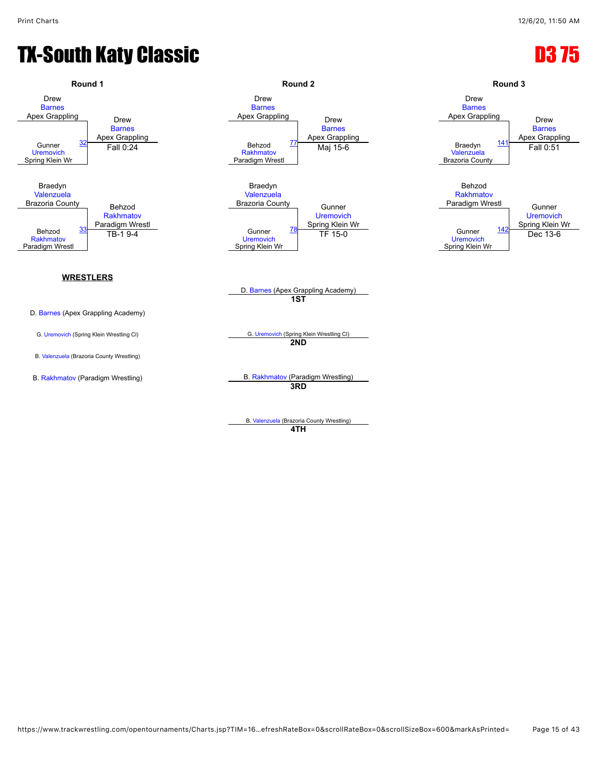

**4TH**

https://www.trackwrestling.com/opentournaments/Charts.jsp?TIM=16…efreshRateBox=0&scrollRateBox=0&scrollSizeBox=600&markAsPrinted= Page 15 of 43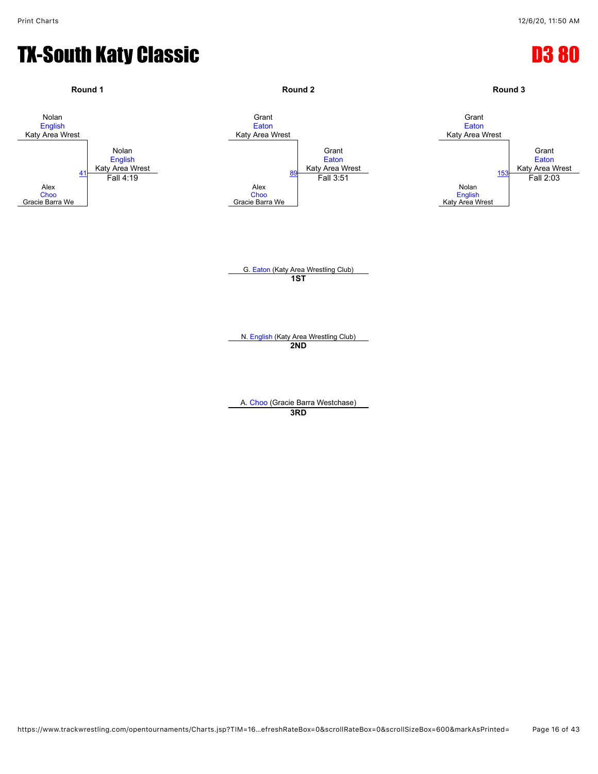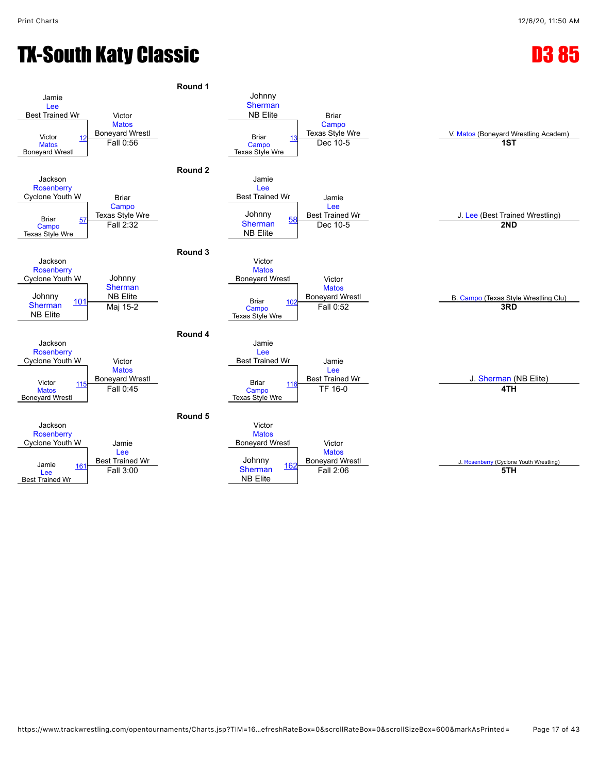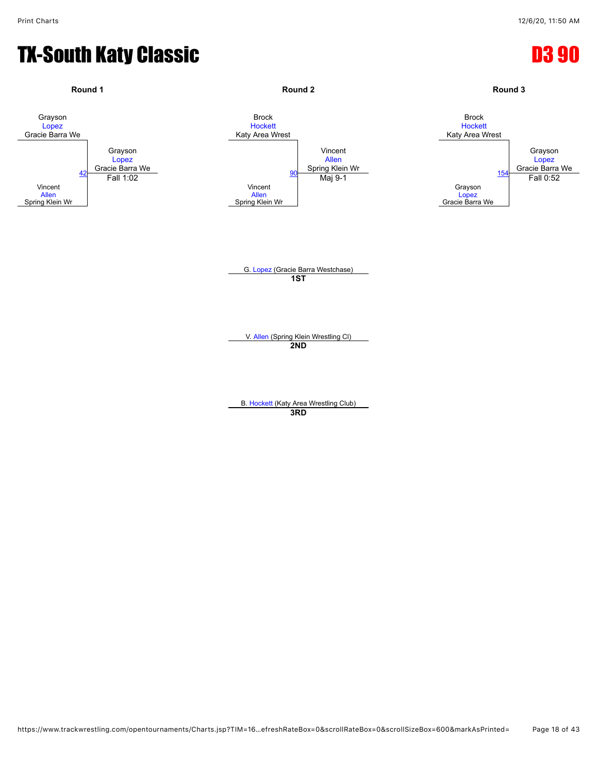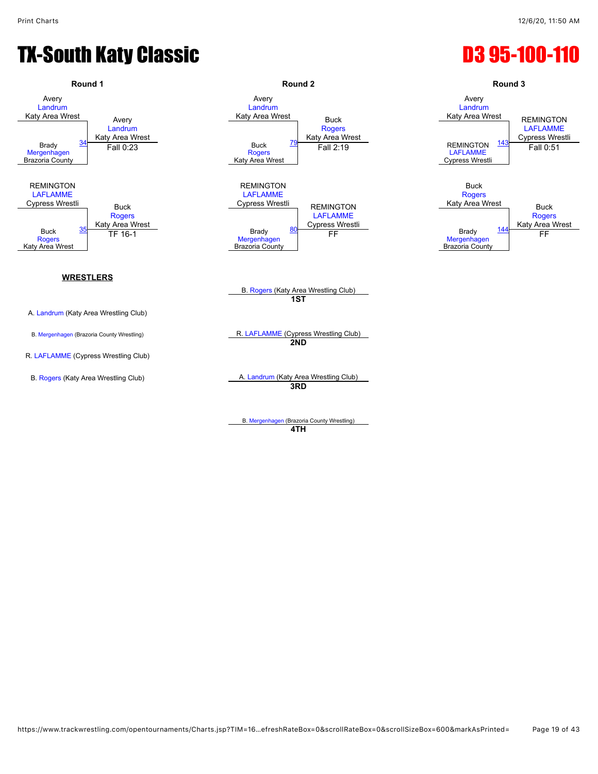

#### **WRESTLERS**

A. [Landrum](javascript:viewProfile(1165362132)) (Katy Area Wrestling Club)

R. [LAFLAMME](javascript:viewProfile(693507135)) (Cypress Wrestling Club)

**Round 1 Round 2 Round 3** Avery [Landrum](javascript:viewProfile(1165362132)) Katy Area Wrest<br>Buck [Rogers](javascript:viewProfile(23403096)) Katy Area Wrest **[Rogers](javascript:viewProfile(23403096))** Katy Area Wrest [79](javascript:openBoutSheet(3,) REMINGTON<br>Fall 2:19 REMINGTON  $\frac{79}{\text{Fall 0:23}}$  Buck  $\frac{79}{\text{Fall 2:19}}$  Fall 2:19 REMINGTON [LAFLAMME](javascript:viewProfile(693507135)) Cypress Wrestli REMINGTON



B. [Rogers](javascript:viewProfile(23403096)) (Katy Area Wrestling Club) **1ST**

B. [Mergenhagen](javascript:viewProfile(896288132)) (Brazoria County Wrestling) R. [LAFLAMME](javascript:viewProfile(693507135)) (Cypress Wrestling Club) **2ND**

B. [Rogers](javascript:viewProfile(23403096)) (Katy Area Wrestling Club) **A. [Landrum](javascript:viewProfile(1165362132)) (Katy Area Wrestling Club) 3RD**

> B. [Mergenhagen](javascript:viewProfile(896288132)) (Brazoria County Wrestling) **4TH**



Brazoria County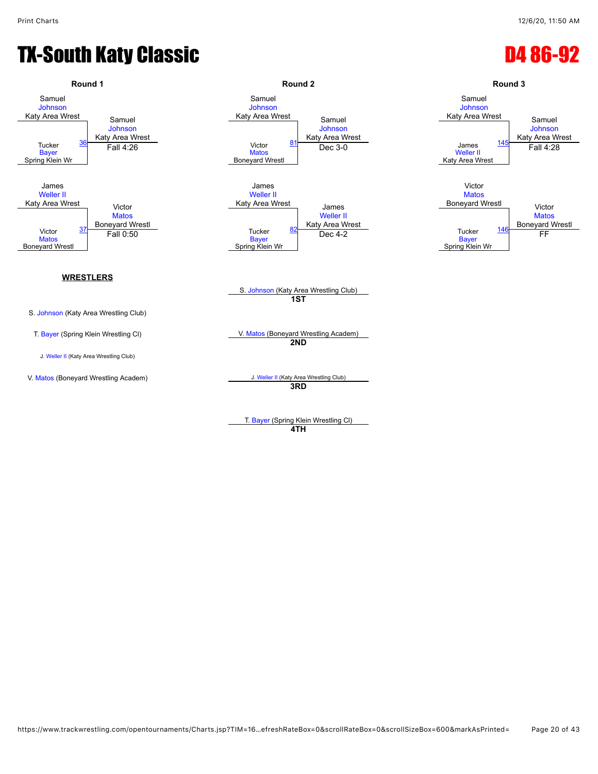## TX-South Katy Classic **D4 86-92**

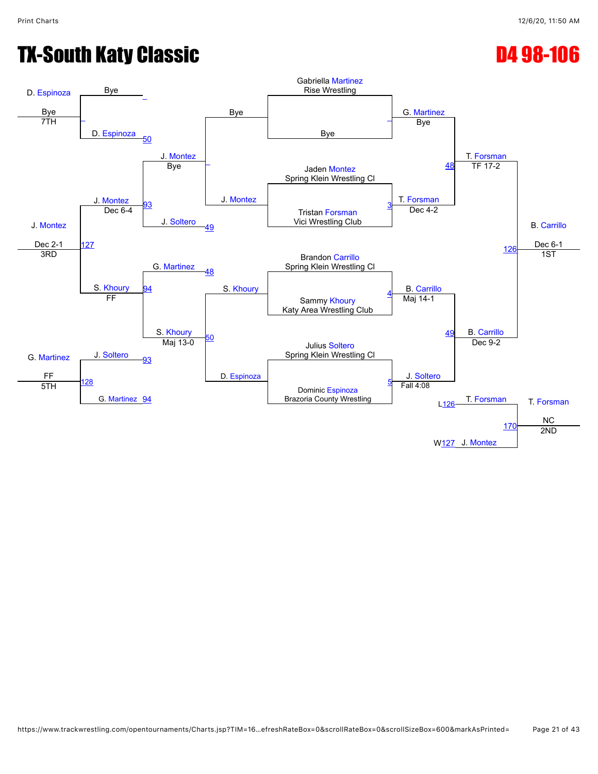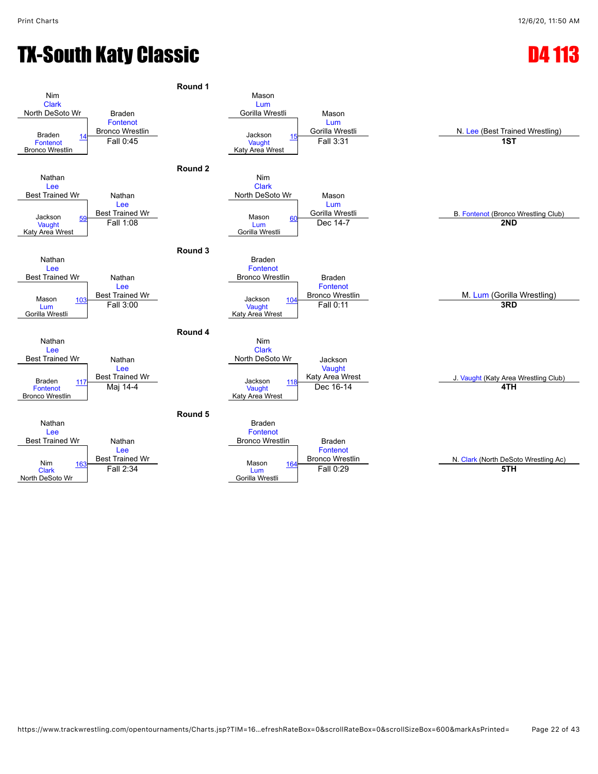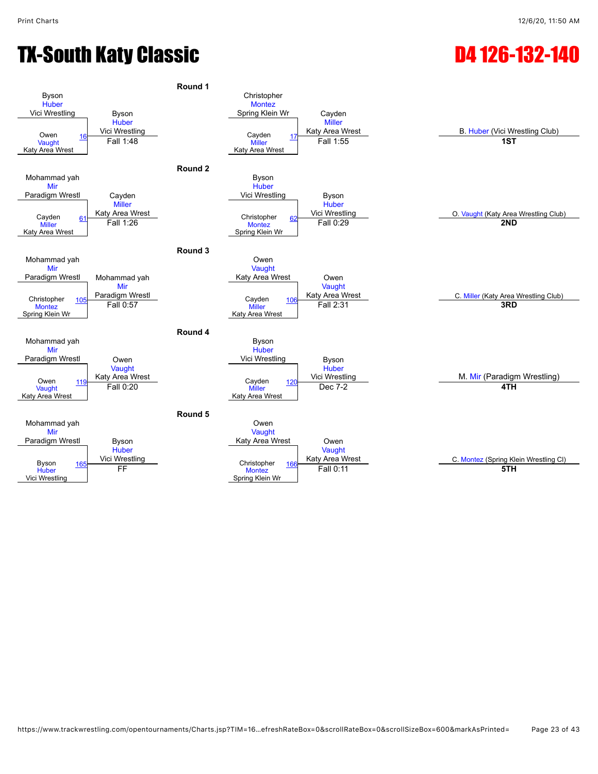

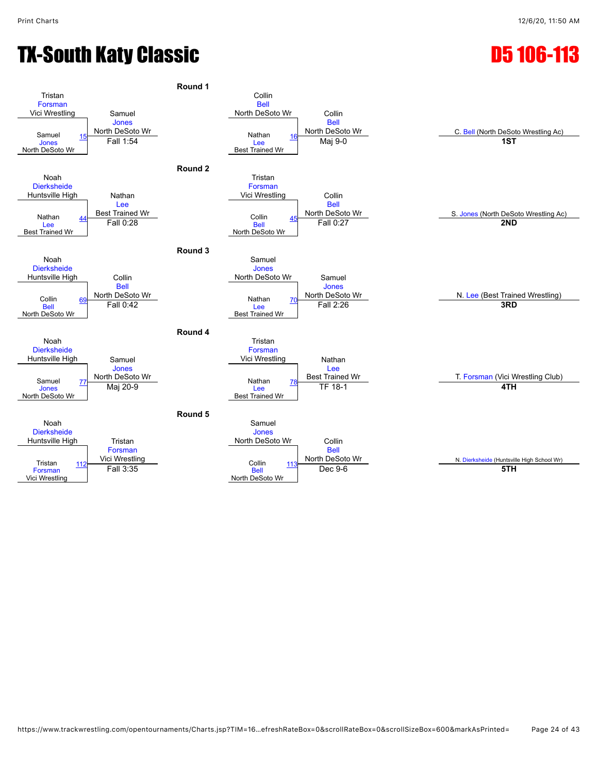# **TX-South Katy Classic Community Classic Community Community Community Community Community Community Community**

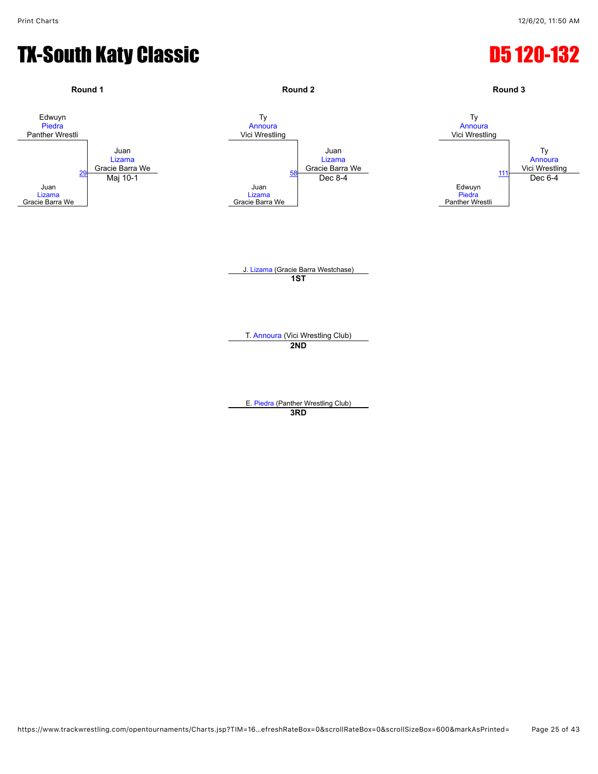#### **TX-South Katy Classic Community Classic Community Community Community Community Community Community Community**

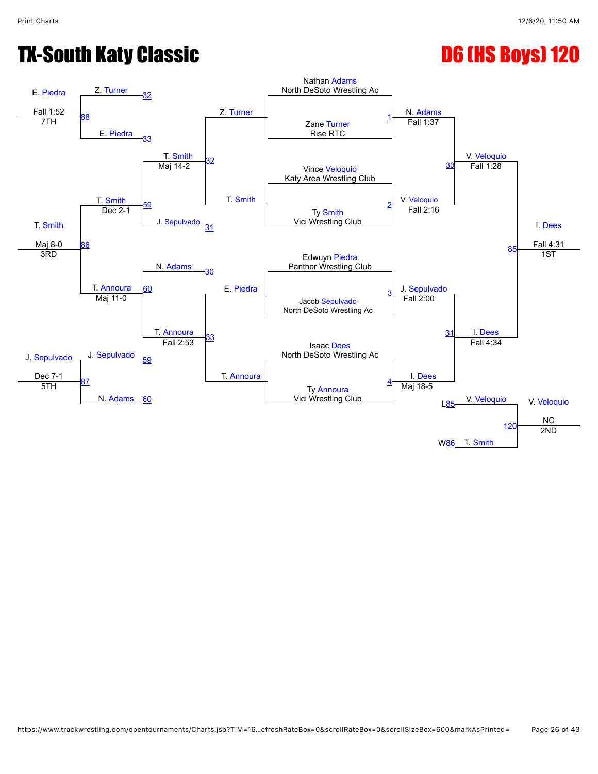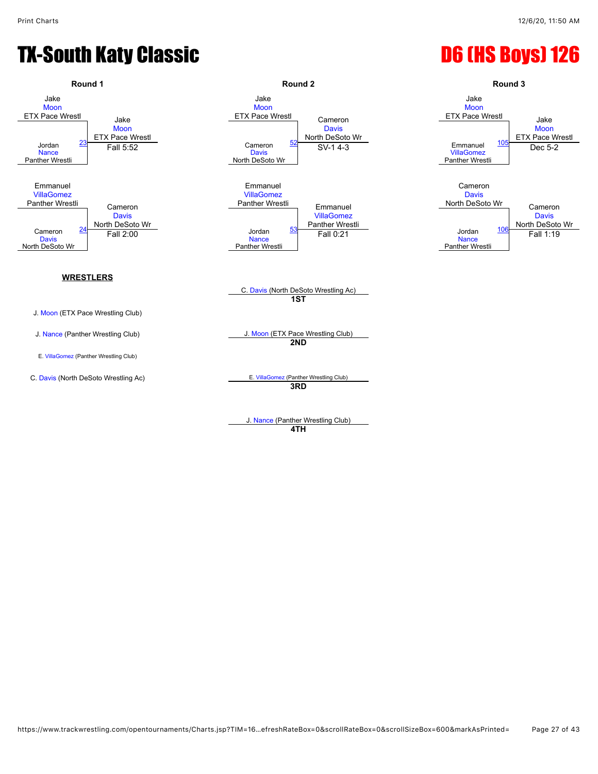

**4TH**

https://www.trackwrestling.com/opentournaments/Charts.jsp?TIM=16…efreshRateBox=0&scrollRateBox=0&scrollSizeBox=600&markAsPrinted= Page 27 of 43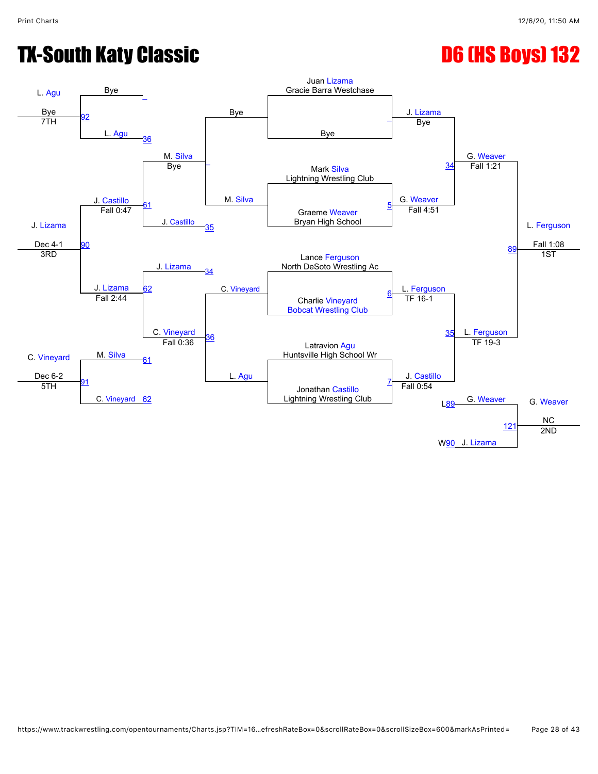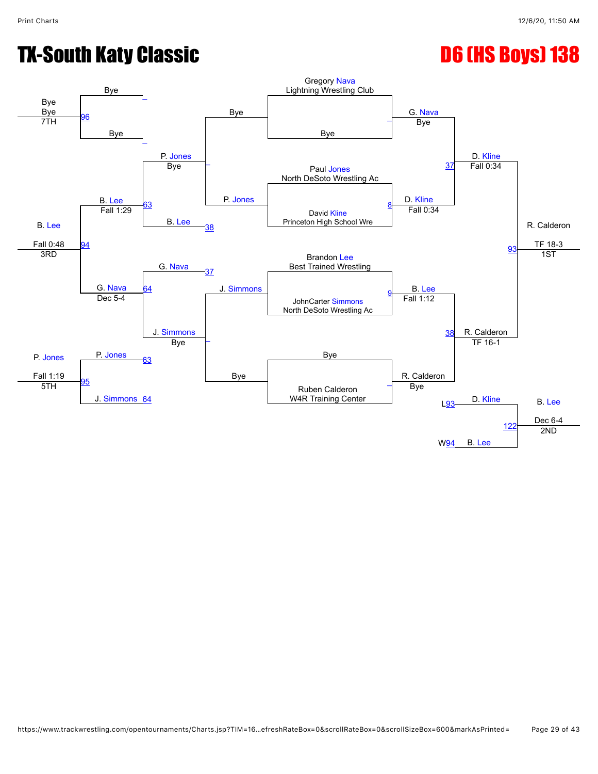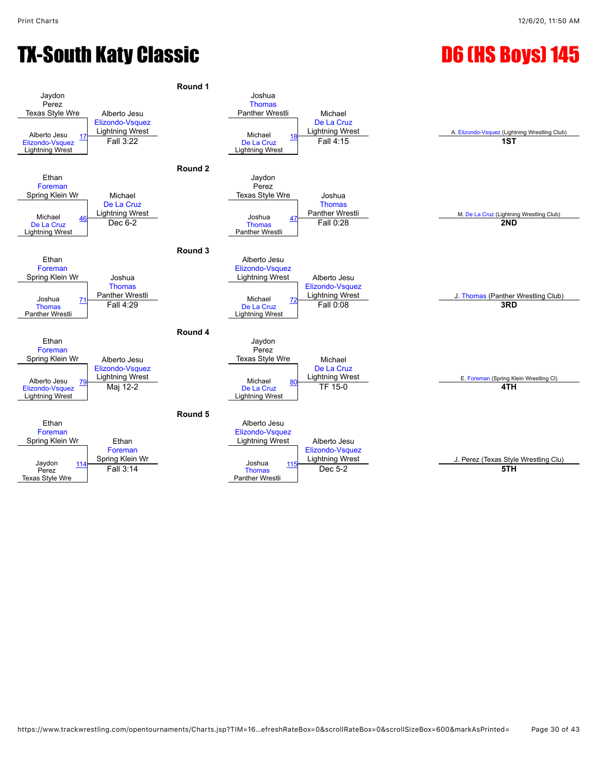

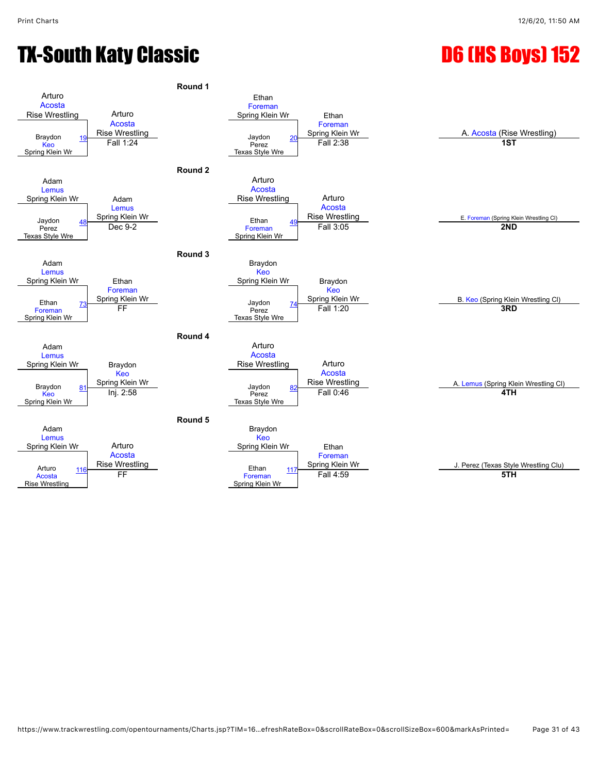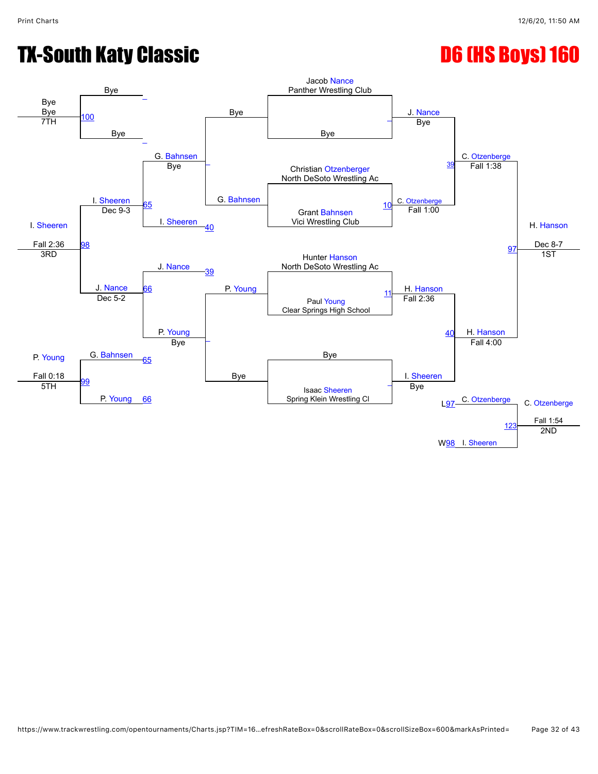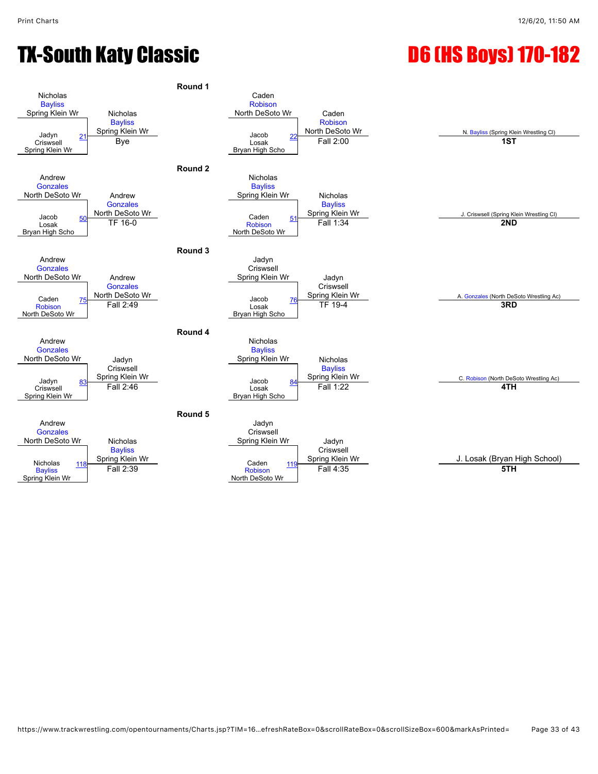

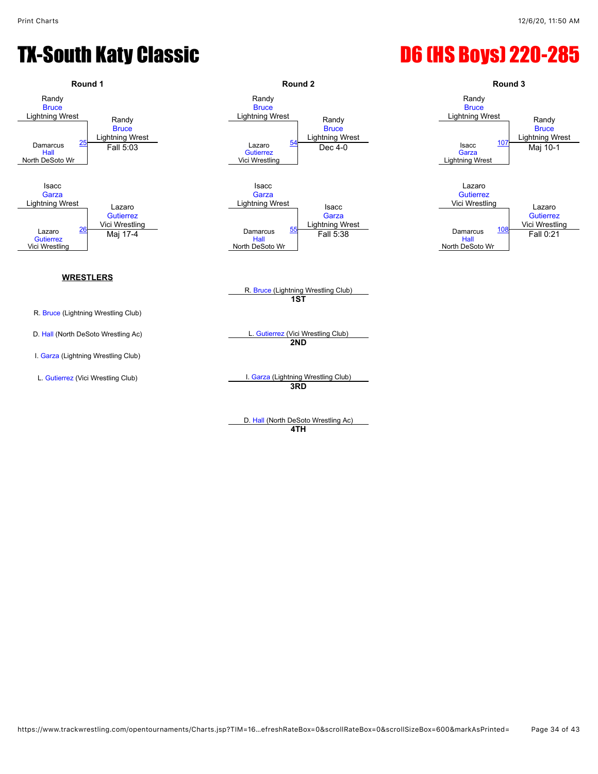

**4TH**

https://www.trackwrestling.com/opentournaments/Charts.jsp?TIM=16…efreshRateBox=0&scrollRateBox=0&scrollSizeBox=600&markAsPrinted= Page 34 of 43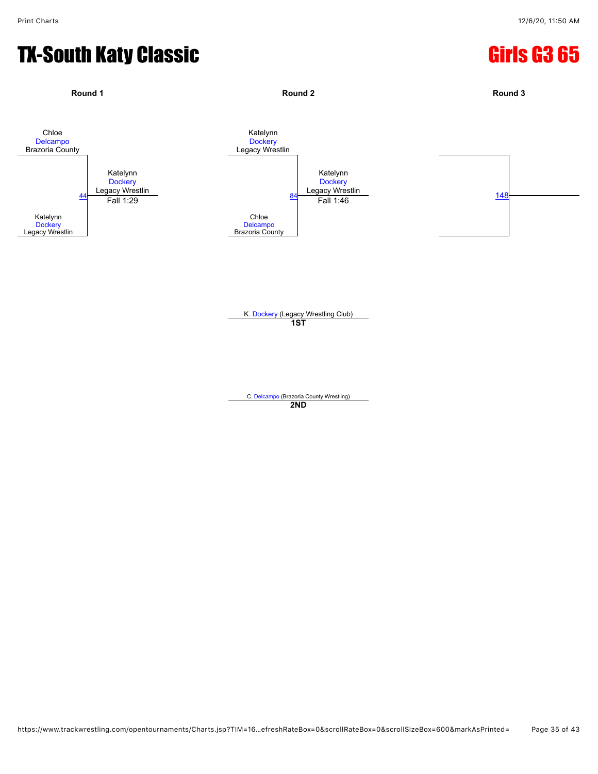#### TX-South Katy Classic Girls G3 65



K. [Dockery](javascript:viewProfile(1331288096)) (Legacy Wrestling Club) **1ST**

C. [Delcampo](javascript:viewProfile(384101135)) (Brazoria County Wrestling) **2ND**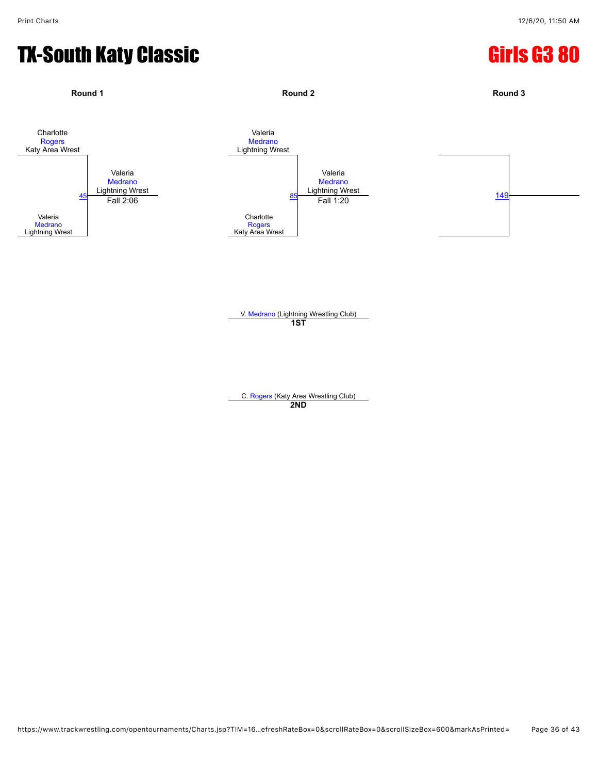## TX-South Katy Classic Girls G3 80



V. [Medrano](javascript:viewProfile(1006121132)) (Lightning Wrestling Club) **1ST**

C. [Rogers](javascript:viewProfile(1162294096)) (Katy Area Wrestling Club) **2ND**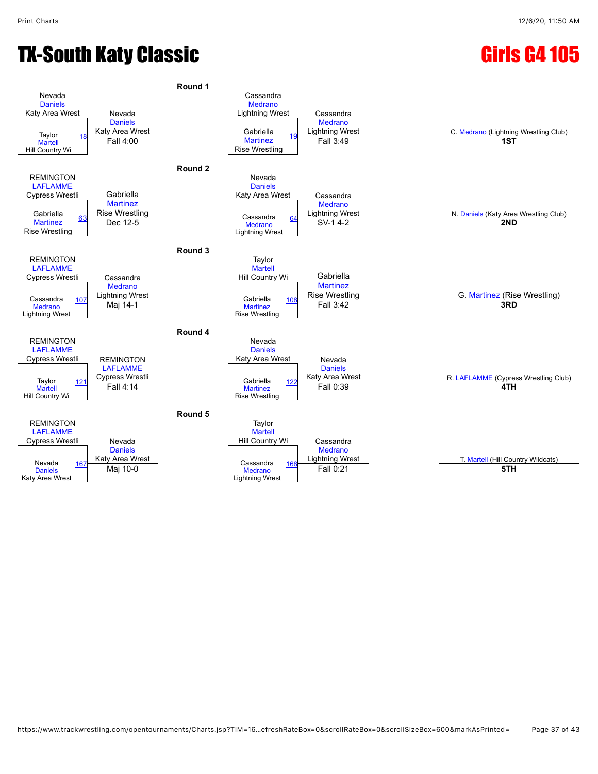# **TX-South Katy Classic Gassic Community Construction Construction Cirls G4 105**



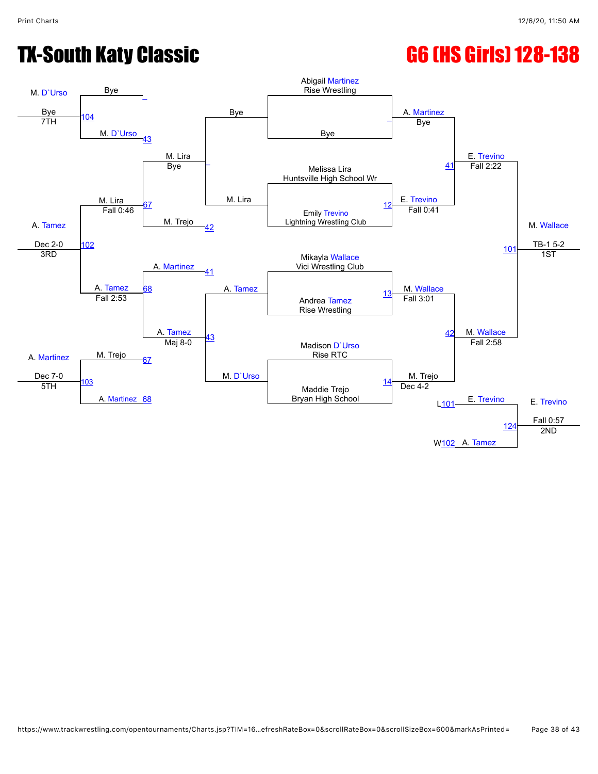# TX-South Katy Classic G6 (HS Girls) 128-138

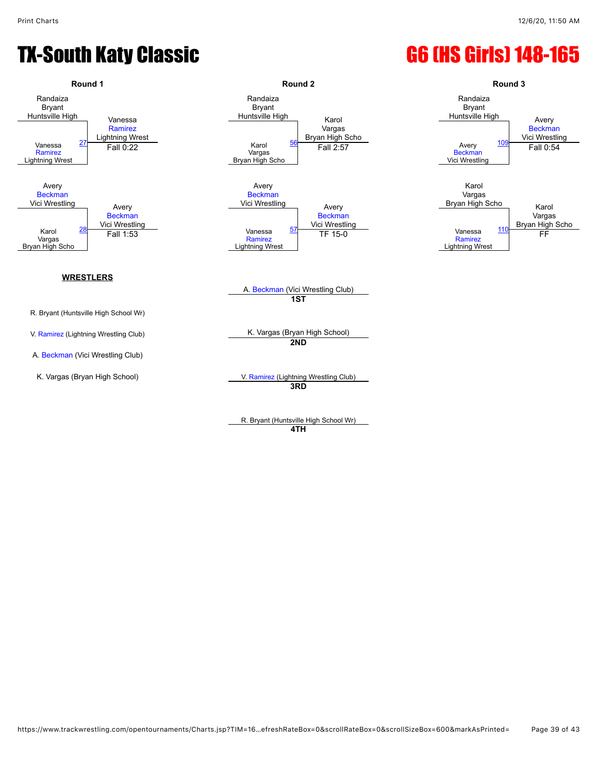### TX-South Katy Classic **G6 (HS Girls) 148-165**



#### **WRESTLERS**

- R. Bryant (Huntsville High School Wr)
- 
- A. [Beckman](javascript:viewProfile(1490156009)) (Vici Wrestling Club)
- 

Randaiza Bryant Huntsville High Karol Vargas Bryan High Scho Vargas Bryan High Scho  $\frac{56}{2}$  $\frac{56}{2}$  $\frac{56}{2}$  Fall 2:57  $F$ all 0:22 **Fall 0:54 Fall 2:57 Fall 2:57 Example 2:57 Example 2:54 Example 2:54 Fall 0:54** Avery [Beckman](javascript:viewProfile(1490156009)) Vici Wrestling Avery [Beckman](javascript:viewProfile(1490156009)) Vici Wrestling [Ramirez](javascript:viewProfile(699917135)) <u>[57](javascript:openBoutSheet(4,) Vict wiesting</u><br>TF 15-0 Vanessa <u>2. All 1:53</u><br>Fall 1:53 **The Contract Contract Contract Contract Contract Contract Contract Contract Contract Contract Contract**<br>Register Contract Contract Contract Contract Contract Contract Contract Contract Contract Con



Vici Wrestling



A. [Beckman](javascript:viewProfile(1490156009)) (Vici Wrestling Club) **1ST**

Lightning Wrest

V. [Ramirez](javascript:viewProfile(699917135)) (Lightning Wrestling Club) K. Vargas (Bryan High School) **2ND**

K. Vargas (Bryan High School) **V. [Ramirez](javascript:viewProfile(699917135)) (Lightning Wrestling Club) 3RD**

> R. Bryant (Huntsville High School Wr) **4TH**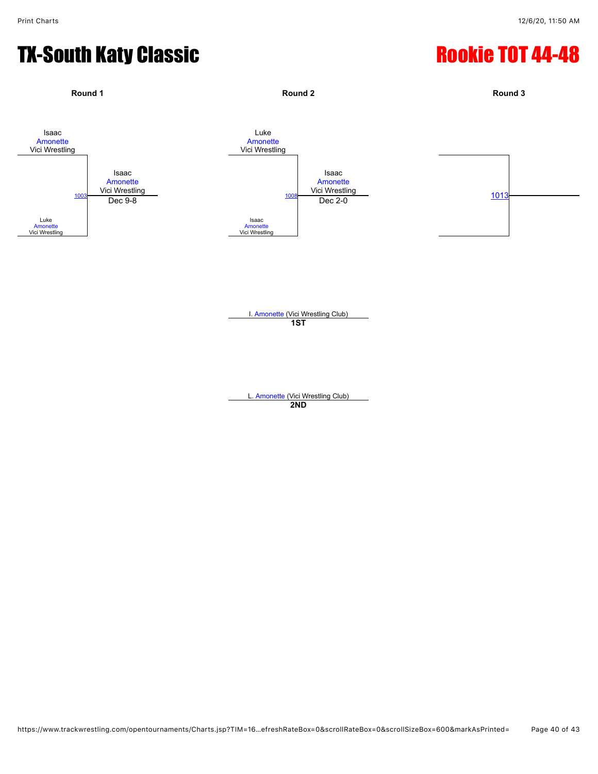## TX-South Katy Classic **Rookie TOT 44-48**



I. [Amonette](javascript:viewProfile(711452135)) (Vici Wrestling Club) **1ST**

L. [Amonette](javascript:viewProfile(711451135)) (Vici Wrestling Club) **2ND**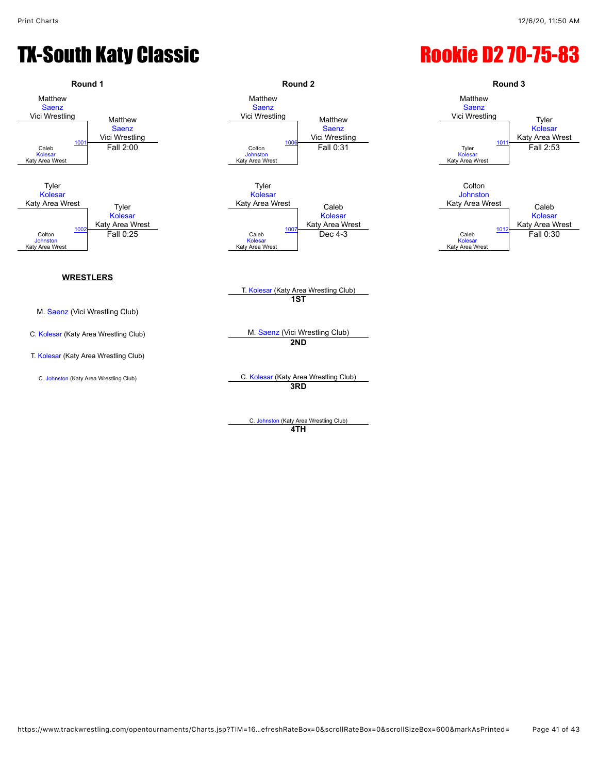### TX-South Katy Classic **Rookie D2 70-75-83**



C. [Johnston](javascript:viewProfile(709932135)) (Katy Area Wrestling Club) **4TH**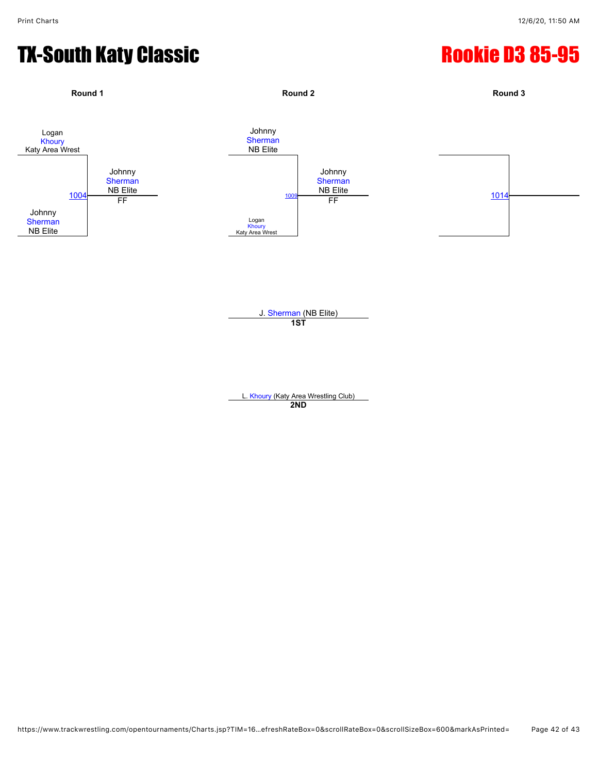# TX-South Katy Classic **Rookie D3 85-95**



**1ST**

L. [Khoury](javascript:viewProfile(699405135)) (Katy Area Wrestling Club) **2ND**